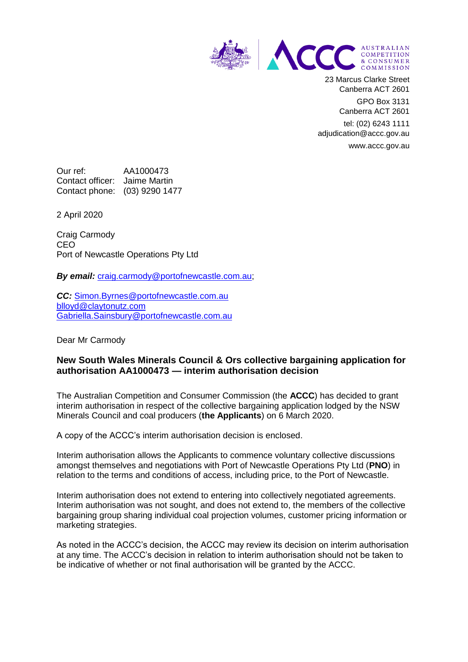

23 Marcus Clarke Street Canberra ACT 2601

> GPO Box 3131 Canberra ACT 2601

tel: (02) 6243 1111 adjudication@accc.gov.au www.accc.gov.au

Our ref: AA1000473 Contact officer: Jaime Martin Contact phone: (03) 9290 1477

2 April 2020

Craig Carmody CEO Port of Newcastle Operations Pty Ltd

**By email:** [craig.carmody@portofnewcastle.com.au;](mailto:craig.carmody@portofnewcastle.com.au)

*CC:* [Simon.Byrnes@portofnewcastle.com.au](mailto:Simon.Byrnes@portofnewcastle.com.au) [blloyd@claytonutz.com](mailto:blloyd@claytonutz.com) [Gabriella.Sainsbury@portofnewcastle.com.au](mailto:Gabriella.Sainsbury@portofnewcastle.com.au)

Dear Mr Carmody

## **New South Wales Minerals Council & Ors collective bargaining application for authorisation AA1000473 — interim authorisation decision**

The Australian Competition and Consumer Commission (the **ACCC**) has decided to grant interim authorisation in respect of the collective bargaining application lodged by the NSW Minerals Council and coal producers (**the Applicants**) on 6 March 2020.

A copy of the ACCC's interim authorisation decision is enclosed.

Interim authorisation allows the Applicants to commence voluntary collective discussions amongst themselves and negotiations with Port of Newcastle Operations Pty Ltd (**PNO**) in relation to the terms and conditions of access, including price, to the Port of Newcastle.

Interim authorisation does not extend to entering into collectively negotiated agreements. Interim authorisation was not sought, and does not extend to, the members of the collective bargaining group sharing individual coal projection volumes, customer pricing information or marketing strategies.

As noted in the ACCC's decision, the ACCC may review its decision on interim authorisation at any time. The ACCC's decision in relation to interim authorisation should not be taken to be indicative of whether or not final authorisation will be granted by the ACCC.